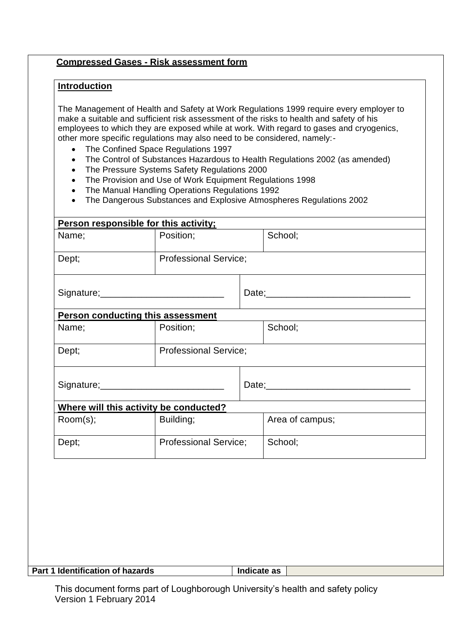## **Compressed Gases - Risk assessment form**

## **Introduction**

The Management of Health and Safety at Work Regulations 1999 require every employer to make a suitable and sufficient risk assessment of the risks to health and safety of his employees to which they are exposed while at work. With regard to gases and cryogenics, other more specific regulations may also need to be considered, namely:-

- The Confined Space Regulations 1997
- The Control of Substances Hazardous to Health Regulations 2002 (as amended)
- The Pressure Systems Safety Regulations 2000
- The Provision and Use of Work Equipment Regulations 1998
- The Manual Handling Operations Regulations 1992
- The Dangerous Substances and Explosive Atmospheres Regulations 2002

|          | Person responsible for this activity;    |                              |                 |  |
|----------|------------------------------------------|------------------------------|-----------------|--|
| Name;    | Position;                                |                              | School;         |  |
| Dept;    |                                          | <b>Professional Service;</b> |                 |  |
|          |                                          |                              |                 |  |
|          | <b>Person conducting this assessment</b> |                              |                 |  |
| Name;    | Position;                                |                              | School;         |  |
| Dept;    |                                          | <b>Professional Service;</b> |                 |  |
|          |                                          |                              | Date;           |  |
|          | Where will this activity be conducted?   |                              |                 |  |
| Room(s); | Building;                                |                              | Area of campus; |  |
| Dept;    | <b>Professional Service;</b>             |                              | School;         |  |
|          |                                          |                              |                 |  |

## **Part 1 Identification of hazards Indicate as**

This document forms part of Loughborough University's health and safety policy Version 1 February 2014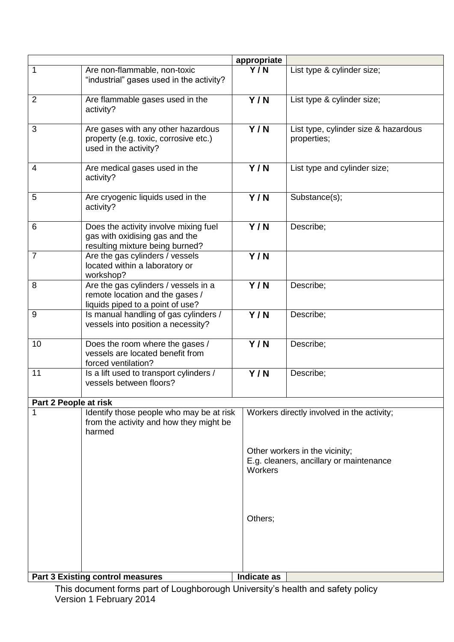|                       |                                                                                                             | appropriate      |                                                                           |  |
|-----------------------|-------------------------------------------------------------------------------------------------------------|------------------|---------------------------------------------------------------------------|--|
| 1                     | Are non-flammable, non-toxic<br>"industrial" gases used in the activity?                                    | Y/N              | List type & cylinder size;                                                |  |
| $\overline{2}$        | Are flammable gases used in the<br>activity?                                                                | Y/N              | List type & cylinder size;                                                |  |
| 3                     | Are gases with any other hazardous<br>property (e.g. toxic, corrosive etc.)<br>used in the activity?        | Y/N              | List type, cylinder size & hazardous<br>properties;                       |  |
| 4                     | Are medical gases used in the<br>activity?                                                                  | Y/N              | List type and cylinder size;                                              |  |
| 5                     | Are cryogenic liquids used in the<br>activity?                                                              | Y/N              | Substance(s);                                                             |  |
| 6                     | Does the activity involve mixing fuel<br>gas with oxidising gas and the<br>resulting mixture being burned?  | Y/N              | Describe;                                                                 |  |
| 7                     | Are the gas cylinders / vessels<br>located within a laboratory or<br>workshop?                              | $\overline{Y/N}$ |                                                                           |  |
| 8                     | Are the gas cylinders / vessels in a<br>remote location and the gases /<br>liquids piped to a point of use? | Y/N              | Describe;                                                                 |  |
| 9                     | Is manual handling of gas cylinders /<br>vessels into position a necessity?                                 | $\overline{Y/N}$ | Describe;                                                                 |  |
| 10                    | Does the room where the gases /<br>vessels are located benefit from<br>forced ventilation?                  | Y/N              | Describe;                                                                 |  |
| 11                    | Is a lift used to transport cylinders /<br>vessels between floors?                                          | Y/N              | Describe;                                                                 |  |
| Part 2 People at risk |                                                                                                             |                  |                                                                           |  |
|                       | Identify those people who may be at risk<br>from the activity and how they might be<br>harmed               |                  | Workers directly involved in the activity;                                |  |
|                       |                                                                                                             | Workers          | Other workers in the vicinity;<br>E.g. cleaners, ancillary or maintenance |  |
|                       |                                                                                                             | Others;          |                                                                           |  |
|                       |                                                                                                             |                  |                                                                           |  |
|                       | <b>Part 3 Existing control measures</b>                                                                     | Indicate as      |                                                                           |  |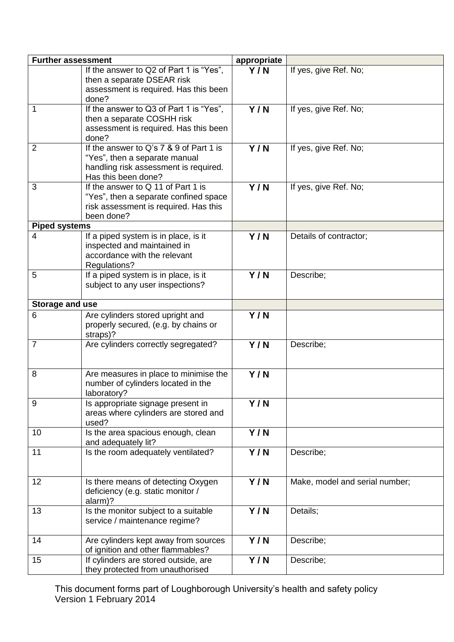| <b>Further assessment</b> |                                                                           | appropriate      |                                |
|---------------------------|---------------------------------------------------------------------------|------------------|--------------------------------|
|                           | If the answer to Q2 of Part 1 is "Yes",                                   | Y/N              | If yes, give Ref. No;          |
|                           | then a separate DSEAR risk                                                |                  |                                |
|                           | assessment is required. Has this been<br>done?                            |                  |                                |
| $\mathbf{1}$              | If the answer to Q3 of Part 1 is "Yes",                                   | $\overline{Y/N}$ | If yes, give Ref. No;          |
|                           | then a separate COSHH risk                                                |                  |                                |
|                           | assessment is required. Has this been                                     |                  |                                |
|                           | done?                                                                     |                  |                                |
| $\overline{2}$            | If the answer to Q's 7 & 9 of Part 1 is                                   | Y/N              | If yes, give Ref. No;          |
|                           | "Yes", then a separate manual                                             |                  |                                |
|                           | handling risk assessment is required.                                     |                  |                                |
|                           | Has this been done?                                                       |                  |                                |
| 3                         | If the answer to Q 11 of Part 1 is                                        | Y/N              | If yes, give Ref. No;          |
|                           | "Yes", then a separate confined space                                     |                  |                                |
|                           | risk assessment is required. Has this<br>been done?                       |                  |                                |
| <b>Piped systems</b>      |                                                                           |                  |                                |
| $\overline{4}$            | If a piped system is in place, is it                                      | Y/N              | Details of contractor;         |
|                           | inspected and maintained in                                               |                  |                                |
|                           | accordance with the relevant                                              |                  |                                |
|                           | Regulations?                                                              |                  |                                |
| 5                         | If a piped system is in place, is it                                      | Y/N              | Describe;                      |
|                           | subject to any user inspections?                                          |                  |                                |
|                           |                                                                           |                  |                                |
| Storage and use<br>6      |                                                                           |                  |                                |
|                           | Are cylinders stored upright and<br>properly secured, (e.g. by chains or  | Y/N              |                                |
|                           | straps)?                                                                  |                  |                                |
| $\overline{7}$            | Are cylinders correctly segregated?                                       | Y/N              | Describe;                      |
|                           |                                                                           |                  |                                |
|                           |                                                                           |                  |                                |
| 8                         | Are measures in place to minimise the                                     | Y/N              |                                |
|                           | number of cylinders located in the                                        |                  |                                |
|                           | laboratory?                                                               |                  |                                |
| 9                         | Is appropriate signage present in<br>areas where cylinders are stored and | Y/N              |                                |
|                           | used?                                                                     |                  |                                |
| 10                        | Is the area spacious enough, clean                                        | Y/N              |                                |
|                           | and adequately lit?                                                       |                  |                                |
| 11                        | Is the room adequately ventilated?                                        | $\overline{Y/N}$ | Describe;                      |
|                           |                                                                           |                  |                                |
|                           |                                                                           |                  |                                |
| 12                        | Is there means of detecting Oxygen                                        | Y/N              | Make, model and serial number; |
|                           | deficiency (e.g. static monitor /                                         |                  |                                |
| 13                        | alarm)?<br>Is the monitor subject to a suitable                           |                  | Details;                       |
|                           | service / maintenance regime?                                             | Y/N              |                                |
|                           |                                                                           |                  |                                |
| 14                        | Are cylinders kept away from sources                                      | Y/N              | Describe;                      |
|                           | of ignition and other flammables?                                         |                  |                                |
| 15                        | If cylinders are stored outside, are                                      | Y/N              | Describe;                      |
|                           | they protected from unauthorised                                          |                  |                                |

This document forms part of Loughborough University's health and safety policy Version 1 February 2014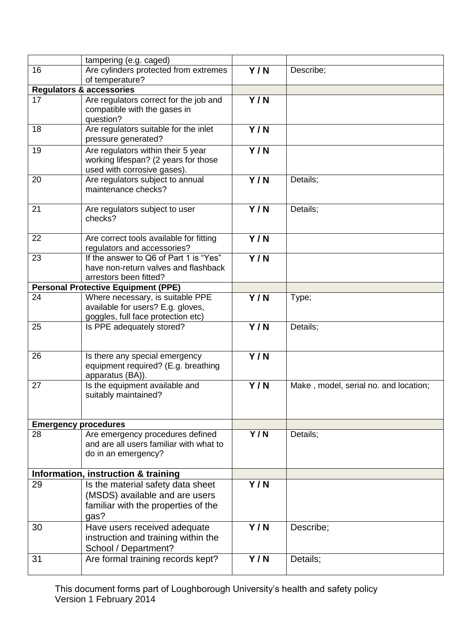|                             | tampering (e.g. caged)                                                                                             |                  |                                       |
|-----------------------------|--------------------------------------------------------------------------------------------------------------------|------------------|---------------------------------------|
| 16                          | Are cylinders protected from extremes                                                                              | Y/N              | Describe;                             |
|                             | of temperature?                                                                                                    |                  |                                       |
|                             | <b>Regulators &amp; accessories</b>                                                                                |                  |                                       |
| 17                          | Are regulators correct for the job and<br>compatible with the gases in<br>question?                                | Y/N              |                                       |
| 18                          | Are regulators suitable for the inlet<br>pressure generated?                                                       | Y/N              |                                       |
| 19                          | Are regulators within their 5 year<br>working lifespan? (2 years for those<br>used with corrosive gases).          | $\overline{Y/N}$ |                                       |
| 20                          | Are regulators subject to annual<br>maintenance checks?                                                            | Y/N              | Details;                              |
| 21                          | Are regulators subject to user<br>checks?                                                                          | $\overline{Y/N}$ | Details;                              |
| 22                          | Are correct tools available for fitting<br>regulators and accessories?                                             | Y/N              |                                       |
| 23                          | If the answer to Q6 of Part 1 is "Yes"<br>have non-return valves and flashback<br>arrestors been fitted?           | $\overline{Y/N}$ |                                       |
|                             | <b>Personal Protective Equipment (PPE)</b>                                                                         |                  |                                       |
| 24                          | Where necessary, is suitable PPE<br>available for users? E.g. gloves,<br>goggles, full face protection etc)        | Y/N              | Type;                                 |
| 25                          | Is PPE adequately stored?                                                                                          | Y/N              | Details;                              |
| 26                          | Is there any special emergency<br>equipment required? (E.g. breathing<br>apparatus (BA)).                          | $\overline{Y/N}$ |                                       |
| 27                          | Is the equipment available and<br>suitably maintained?                                                             | Y/N              | Make, model, serial no. and location; |
| <b>Emergency procedures</b> |                                                                                                                    |                  |                                       |
| 28                          | Are emergency procedures defined<br>and are all users familiar with what to<br>do in an emergency?                 | Y/N              | Details;                              |
|                             | Information, instruction & training                                                                                |                  |                                       |
| 29                          | Is the material safety data sheet<br>(MSDS) available and are users<br>familiar with the properties of the<br>gas? | Y/N              |                                       |
| 30                          | Have users received adequate<br>instruction and training within the<br>School / Department?                        | Y/N              | Describe;                             |
| 31                          | Are formal training records kept?                                                                                  | Y/N              | Details;                              |

This document forms part of Loughborough University's health and safety policy Version 1 February 2014